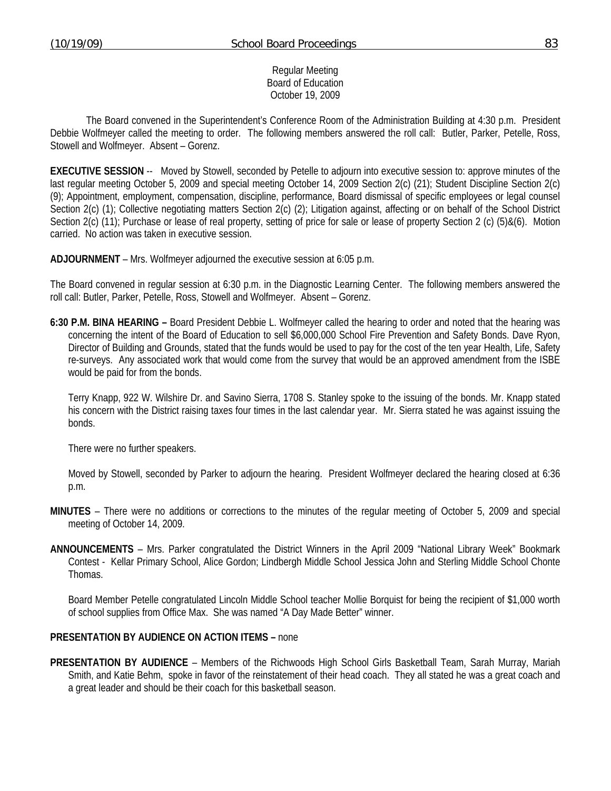#### Regular Meeting Board of Education October 19, 2009

 The Board convened in the Superintendent's Conference Room of the Administration Building at 4:30 p.m. President Debbie Wolfmeyer called the meeting to order. The following members answered the roll call: Butler, Parker, Petelle, Ross, Stowell and Wolfmeyer. Absent – Gorenz.

**EXECUTIVE SESSION** -- Moved by Stowell, seconded by Petelle to adjourn into executive session to: approve minutes of the last regular meeting October 5, 2009 and special meeting October 14, 2009 Section 2(c) (21); Student Discipline Section 2(c) (9); Appointment, employment, compensation, discipline, performance, Board dismissal of specific employees or legal counsel Section 2(c) (1); Collective negotiating matters Section 2(c) (2); Litigation against, affecting or on behalf of the School District Section 2(c) (11); Purchase or lease of real property, setting of price for sale or lease of property Section 2 (c) (5)&(6). Motion carried. No action was taken in executive session.

**ADJOURNMENT** – Mrs. Wolfmeyer adjourned the executive session at 6:05 p.m.

The Board convened in regular session at 6:30 p.m. in the Diagnostic Learning Center. The following members answered the roll call: Butler, Parker, Petelle, Ross, Stowell and Wolfmeyer. Absent – Gorenz.

**6:30 P.M. BINA HEARING –** Board President Debbie L. Wolfmeyer called the hearing to order and noted that the hearing was concerning the intent of the Board of Education to sell \$6,000,000 School Fire Prevention and Safety Bonds. Dave Ryon, Director of Building and Grounds, stated that the funds would be used to pay for the cost of the ten year Health, Life, Safety re-surveys. Any associated work that would come from the survey that would be an approved amendment from the ISBE would be paid for from the bonds.

 Terry Knapp, 922 W. Wilshire Dr. and Savino Sierra, 1708 S. Stanley spoke to the issuing of the bonds. Mr. Knapp stated his concern with the District raising taxes four times in the last calendar year. Mr. Sierra stated he was against issuing the bonds.

There were no further speakers.

 Moved by Stowell, seconded by Parker to adjourn the hearing. President Wolfmeyer declared the hearing closed at 6:36 p.m.

- **MINUTES** There were no additions or corrections to the minutes of the regular meeting of October 5, 2009 and special meeting of October 14, 2009.
- **ANNOUNCEMENTS** Mrs. Parker congratulated the District Winners in the April 2009 "National Library Week" Bookmark Contest - Kellar Primary School, Alice Gordon; Lindbergh Middle School Jessica John and Sterling Middle School Chonte Thomas.

 Board Member Petelle congratulated Lincoln Middle School teacher Mollie Borquist for being the recipient of \$1,000 worth of school supplies from Office Max. She was named "A Day Made Better" winner.

## **PRESENTATION BY AUDIENCE ON ACTION ITEMS –** none

**PRESENTATION BY AUDIENCE** – Members of the Richwoods High School Girls Basketball Team, Sarah Murray, Mariah Smith, and Katie Behm, spoke in favor of the reinstatement of their head coach. They all stated he was a great coach and a great leader and should be their coach for this basketball season.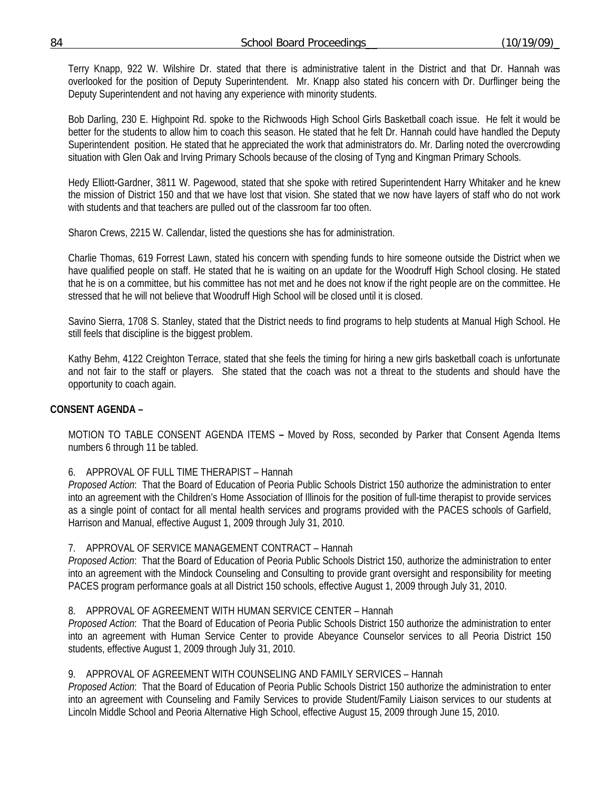Terry Knapp, 922 W. Wilshire Dr. stated that there is administrative talent in the District and that Dr. Hannah was overlooked for the position of Deputy Superintendent. Mr. Knapp also stated his concern with Dr. Durflinger being the Deputy Superintendent and not having any experience with minority students.

 Bob Darling, 230 E. Highpoint Rd. spoke to the Richwoods High School Girls Basketball coach issue. He felt it would be better for the students to allow him to coach this season. He stated that he felt Dr. Hannah could have handled the Deputy Superintendent position. He stated that he appreciated the work that administrators do. Mr. Darling noted the overcrowding situation with Glen Oak and Irving Primary Schools because of the closing of Tyng and Kingman Primary Schools.

 Hedy Elliott-Gardner, 3811 W. Pagewood, stated that she spoke with retired Superintendent Harry Whitaker and he knew the mission of District 150 and that we have lost that vision. She stated that we now have layers of staff who do not work with students and that teachers are pulled out of the classroom far too often.

Sharon Crews, 2215 W. Callendar, listed the questions she has for administration.

 Charlie Thomas, 619 Forrest Lawn, stated his concern with spending funds to hire someone outside the District when we have qualified people on staff. He stated that he is waiting on an update for the Woodruff High School closing. He stated that he is on a committee, but his committee has not met and he does not know if the right people are on the committee. He stressed that he will not believe that Woodruff High School will be closed until it is closed.

 Savino Sierra, 1708 S. Stanley, stated that the District needs to find programs to help students at Manual High School. He still feels that discipline is the biggest problem.

 Kathy Behm, 4122 Creighton Terrace, stated that she feels the timing for hiring a new girls basketball coach is unfortunate and not fair to the staff or players. She stated that the coach was not a threat to the students and should have the opportunity to coach again.

# **CONSENT AGENDA –**

MOTION TO TABLE CONSENT AGENDA ITEMS **–** Moved by Ross, seconded by Parker that Consent Agenda Items numbers 6 through 11 be tabled.

## 6. APPROVAL OF FULL TIME THERAPIST – Hannah

*Proposed Action*: That the Board of Education of Peoria Public Schools District 150 authorize the administration to enter into an agreement with the Children's Home Association of Illinois for the position of full-time therapist to provide services as a single point of contact for all mental health services and programs provided with the PACES schools of Garfield, Harrison and Manual, effective August 1, 2009 through July 31, 2010.

## 7. APPROVAL OF SERVICE MANAGEMENT CONTRACT – Hannah

*Proposed Action*: That the Board of Education of Peoria Public Schools District 150, authorize the administration to enter into an agreement with the Mindock Counseling and Consulting to provide grant oversight and responsibility for meeting PACES program performance goals at all District 150 schools, effective August 1, 2009 through July 31, 2010.

## 8. APPROVAL OF AGREEMENT WITH HUMAN SERVICE CENTER – Hannah

*Proposed Action*: That the Board of Education of Peoria Public Schools District 150 authorize the administration to enter into an agreement with Human Service Center to provide Abeyance Counselor services to all Peoria District 150 students, effective August 1, 2009 through July 31, 2010.

## 9. APPROVAL OF AGREEMENT WITH COUNSELING AND FAMILY SERVICES – Hannah

*Proposed Action*: That the Board of Education of Peoria Public Schools District 150 authorize the administration to enter into an agreement with Counseling and Family Services to provide Student/Family Liaison services to our students at Lincoln Middle School and Peoria Alternative High School, effective August 15, 2009 through June 15, 2010.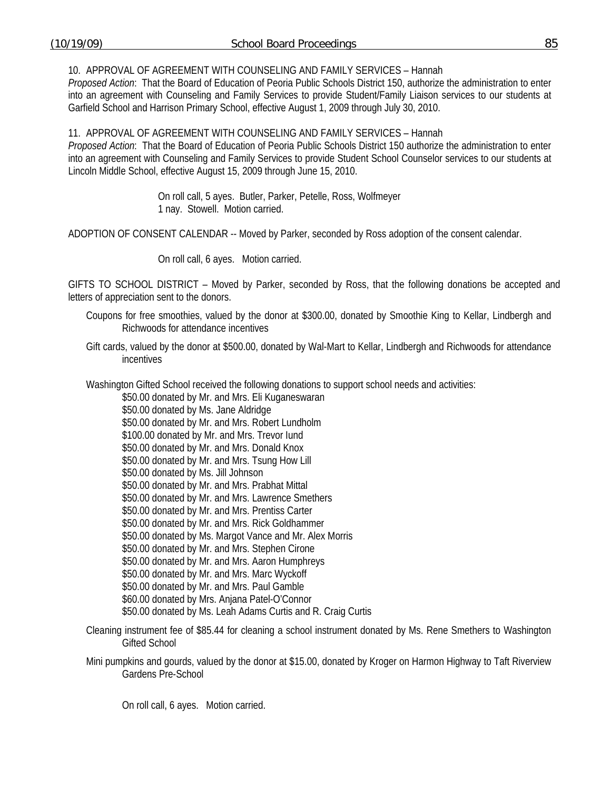10. APPROVAL OF AGREEMENT WITH COUNSELING AND FAMILY SERVICES – Hannah

*Proposed Action*: That the Board of Education of Peoria Public Schools District 150, authorize the administration to enter into an agreement with Counseling and Family Services to provide Student/Family Liaison services to our students at Garfield School and Harrison Primary School, effective August 1, 2009 through July 30, 2010.

11. APPROVAL OF AGREEMENT WITH COUNSELING AND FAMILY SERVICES – Hannah *Proposed Action*: That the Board of Education of Peoria Public Schools District 150 authorize the administration to enter into an agreement with Counseling and Family Services to provide Student School Counselor services to our students at Lincoln Middle School, effective August 15, 2009 through June 15, 2010.

> On roll call, 5 ayes. Butler, Parker, Petelle, Ross, Wolfmeyer 1 nay. Stowell. Motion carried.

ADOPTION OF CONSENT CALENDAR -- Moved by Parker, seconded by Ross adoption of the consent calendar.

On roll call, 6 ayes. Motion carried.

GIFTS TO SCHOOL DISTRICT – Moved by Parker, seconded by Ross, that the following donations be accepted and letters of appreciation sent to the donors.

- Coupons for free smoothies, valued by the donor at \$300.00, donated by Smoothie King to Kellar, Lindbergh and Richwoods for attendance incentives
- Gift cards, valued by the donor at \$500.00, donated by Wal-Mart to Kellar, Lindbergh and Richwoods for attendance incentives

Washington Gifted School received the following donations to support school needs and activities:

\$50.00 donated by Mr. and Mrs. Eli Kuganeswaran

- \$50.00 donated by Ms. Jane Aldridge \$50.00 donated by Mr. and Mrs. Robert Lundholm \$100.00 donated by Mr. and Mrs. Trevor Iund \$50.00 donated by Mr. and Mrs. Donald Knox \$50.00 donated by Mr. and Mrs. Tsung How Lill \$50.00 donated by Ms. Jill Johnson \$50.00 donated by Mr. and Mrs. Prabhat Mittal \$50.00 donated by Mr. and Mrs. Lawrence Smethers \$50.00 donated by Mr. and Mrs. Prentiss Carter \$50.00 donated by Mr. and Mrs. Rick Goldhammer \$50.00 donated by Ms. Margot Vance and Mr. Alex Morris \$50.00 donated by Mr. and Mrs. Stephen Cirone \$50.00 donated by Mr. and Mrs. Aaron Humphreys \$50.00 donated by Mr. and Mrs. Marc Wyckoff \$50.00 donated by Mr. and Mrs. Paul Gamble \$60.00 donated by Mrs. Anjana Patel-O'Connor \$50.00 donated by Ms. Leah Adams Curtis and R. Craig Curtis
- Cleaning instrument fee of \$85.44 for cleaning a school instrument donated by Ms. Rene Smethers to Washington Gifted School

Mini pumpkins and gourds, valued by the donor at \$15.00, donated by Kroger on Harmon Highway to Taft Riverview Gardens Pre-School

On roll call, 6 ayes. Motion carried.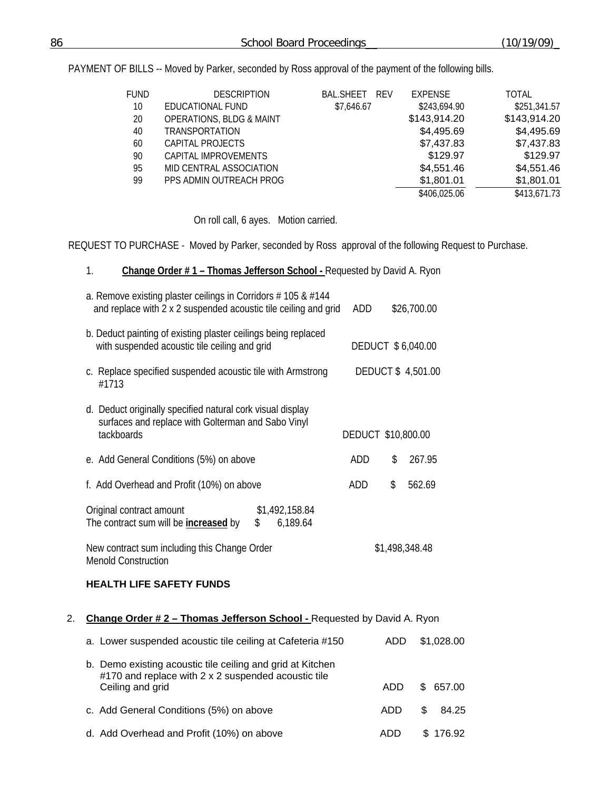PAYMENT OF BILLS -- Moved by Parker, seconded by Ross approval of the payment of the following bills.

| <b>FUND</b> | <b>DESCRIPTION</b>                  | <b>BAL.SHEET</b><br><b>RFV</b> | <b>EXPENSE</b> | <b>TOTAL</b> |
|-------------|-------------------------------------|--------------------------------|----------------|--------------|
| 10          | EDUCATIONAL FUND                    | \$7,646.67                     | \$243,694.90   | \$251,341.57 |
| 20          | <b>OPERATIONS, BLDG &amp; MAINT</b> |                                | \$143,914.20   | \$143,914.20 |
| 40          | <b>TRANSPORTATION</b>               |                                | \$4,495.69     | \$4,495.69   |
| 60          | CAPITAL PROJECTS                    |                                | \$7,437.83     | \$7,437.83   |
| 90          | CAPITAL IMPROVEMENTS                |                                | \$129.97       | \$129.97     |
| 95          | MID CENTRAL ASSOCIATION             |                                | \$4,551.46     | \$4,551.46   |
| 99          | PPS ADMIN OUTREACH PROG             |                                | \$1,801.01     | \$1,801.01   |
|             |                                     |                                | \$406,025.06   | \$413,671.73 |

On roll call, 6 ayes. Motion carried.

REQUEST TO PURCHASE - Moved by Parker, seconded by Ross approval of the following Request to Purchase.

#### 1. **Change Order # 1 – Thomas Jefferson School -** Requested by David A. Ryon

|    | a. Remove existing plaster ceilings in Corridors $# 105 \& #144$<br>and replace with 2 x 2 suspended acoustic tile ceiling and grid   | ADD                |                | \$26,700.00       |  |
|----|---------------------------------------------------------------------------------------------------------------------------------------|--------------------|----------------|-------------------|--|
|    | b. Deduct painting of existing plaster ceilings being replaced<br>with suspended acoustic tile ceiling and grid                       | DEDUCT \$6,040.00  |                |                   |  |
|    | c. Replace specified suspended acoustic tile with Armstrong<br>#1713                                                                  |                    |                | DEDUCT \$4,501.00 |  |
|    | d. Deduct originally specified natural cork visual display<br>surfaces and replace with Golterman and Sabo Vinyl<br>tackboards        | DEDUCT \$10,800.00 |                |                   |  |
|    | e. Add General Conditions (5%) on above                                                                                               | ADD                | \$             | 267.95            |  |
|    | f. Add Overhead and Profit (10%) on above                                                                                             | ADD                | \$             | 562.69            |  |
|    | Original contract amount<br>\$1,492,158.84<br>The contract sum will be <b>increased</b> by<br>\$<br>6,189.64                          |                    |                |                   |  |
|    | New contract sum including this Change Order<br><b>Menold Construction</b>                                                            |                    | \$1,498,348.48 |                   |  |
|    | <b>HEALTH LIFE SAFETY FUNDS</b>                                                                                                       |                    |                |                   |  |
| 2. | Change Order #2 - Thomas Jefferson School - Requested by David A. Ryon                                                                |                    |                |                   |  |
|    | a. Lower suspended acoustic tile ceiling at Cafeteria #150                                                                            |                    | <b>ADD</b>     | \$1,028.00        |  |
|    | b. Demo existing acoustic tile ceiling and grid at Kitchen<br>#170 and replace with 2 x 2 suspended acoustic tile<br>Ceiling and grid |                    | <b>ADD</b>     | \$<br>657.00      |  |

d. Add Overhead and Profit (10%) on above ADD \$ 176.92

c. Add General Conditions (5%) on above ADD \$ 84.25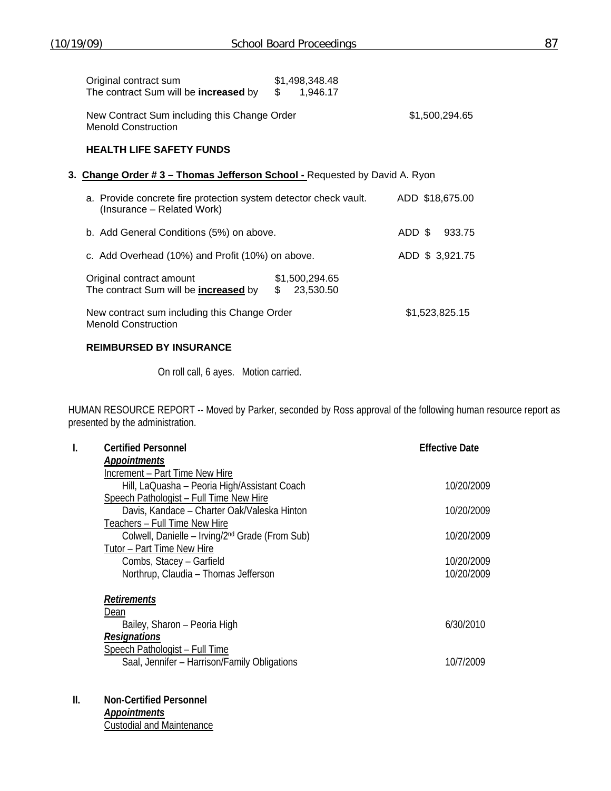| Original contract sum                                                                          | \$1,498,348.48 |                  |
|------------------------------------------------------------------------------------------------|----------------|------------------|
| The contract Sum will be increased by                                                          | \$<br>1,946.17 |                  |
| New Contract Sum including this Change Order<br><b>Menold Construction</b>                     |                | \$1,500,294.65   |
| <b>HEALTH LIFE SAFETY FUNDS</b>                                                                |                |                  |
| 3. Change Order # 3 – Thomas Jefferson School - Requested by David A. Ryon                     |                |                  |
| a. Provide concrete fire protection system detector check vault.<br>(Insurance – Related Work) |                | ADD \$18,675.00  |
| b. Add General Conditions (5%) on above.                                                       |                | ADD \$<br>933.75 |
| c. Add Overhead (10%) and Profit (10%) on above.                                               |                | ADD \$ 3,921.75  |
| Original contract amount                                                                       | \$1.500.294.65 |                  |

| The contract Sum will be <b>increased</b> by | \$23,530.50 |                |
|----------------------------------------------|-------------|----------------|
| New contract sum including this Change Order |             | \$1,523,825.15 |

Menold Construction

## **REIMBURSED BY INSURANCE**

On roll call, 6 ayes. Motion carried.

HUMAN RESOURCE REPORT -- Moved by Parker, seconded by Ross approval of the following human resource report as presented by the administration.

| -1. | <b>Certified Personnel</b>                                  | <b>Effective Date</b> |
|-----|-------------------------------------------------------------|-----------------------|
|     | <b>Appointments</b>                                         |                       |
|     | Increment - Part Time New Hire                              |                       |
|     | Hill, LaQuasha - Peoria High/Assistant Coach                | 10/20/2009            |
|     | Speech Pathologist - Full Time New Hire                     |                       |
|     | Davis, Kandace - Charter Oak/Valeska Hinton                 | 10/20/2009            |
|     | Teachers - Full Time New Hire                               |                       |
|     | Colwell, Danielle – Irving/2 <sup>nd</sup> Grade (From Sub) | 10/20/2009            |
|     | Tutor - Part Time New Hire                                  |                       |
|     | Combs, Stacey - Garfield                                    | 10/20/2009            |
|     | Northrup, Claudia - Thomas Jefferson                        | 10/20/2009            |
|     | <b>Retirements</b>                                          |                       |
|     | Dean                                                        |                       |
|     | Bailey, Sharon - Peoria High                                | 6/30/2010             |
|     | <b>Resignations</b>                                         |                       |
|     | Speech Pathologist - Full Time                              |                       |
|     | Saal, Jennifer - Harrison/Family Obligations                | 10/7/2009             |

**II. Non-Certified Personnel** 

*Appointments* Custodial and Maintenance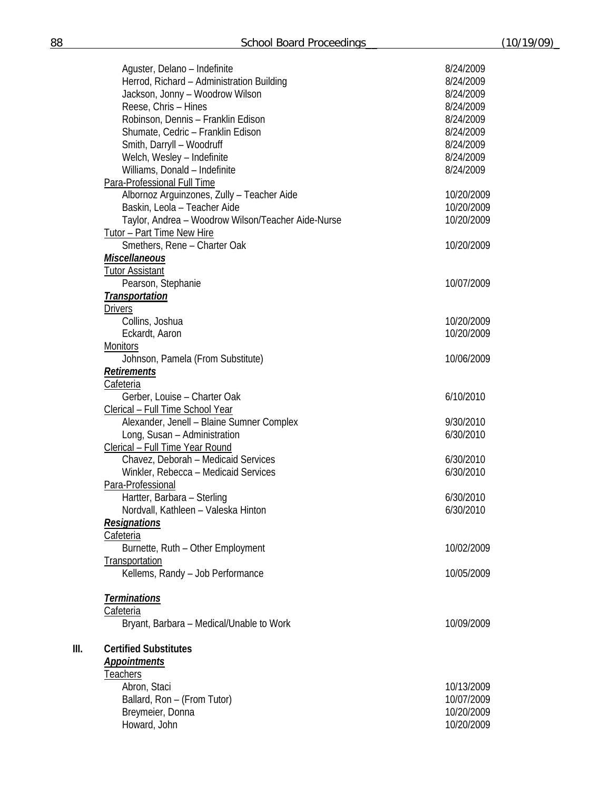|    | Aguster, Delano - Indefinite<br>Herrod, Richard - Administration Building<br>Jackson, Jonny - Woodrow Wilson<br>Reese, Chris - Hines<br>Robinson, Dennis - Franklin Edison<br>Shumate, Cedric - Franklin Edison<br>Smith, Darryll - Woodruff<br>Welch, Wesley - Indefinite<br>Williams, Donald - Indefinite | 8/24/2009<br>8/24/2009<br>8/24/2009<br>8/24/2009<br>8/24/2009<br>8/24/2009<br>8/24/2009<br>8/24/2009<br>8/24/2009 |
|----|-------------------------------------------------------------------------------------------------------------------------------------------------------------------------------------------------------------------------------------------------------------------------------------------------------------|-------------------------------------------------------------------------------------------------------------------|
|    | Para-Professional Full Time                                                                                                                                                                                                                                                                                 |                                                                                                                   |
|    | Albornoz Arguinzones, Zully - Teacher Aide<br>Baskin, Leola - Teacher Aide                                                                                                                                                                                                                                  | 10/20/2009<br>10/20/2009                                                                                          |
|    | Taylor, Andrea - Woodrow Wilson/Teacher Aide-Nurse                                                                                                                                                                                                                                                          | 10/20/2009                                                                                                        |
|    | <b>Tutor - Part Time New Hire</b>                                                                                                                                                                                                                                                                           |                                                                                                                   |
|    | Smethers, Rene - Charter Oak                                                                                                                                                                                                                                                                                | 10/20/2009                                                                                                        |
|    | <b>Miscellaneous</b>                                                                                                                                                                                                                                                                                        |                                                                                                                   |
|    | <b>Tutor Assistant</b>                                                                                                                                                                                                                                                                                      |                                                                                                                   |
|    | Pearson, Stephanie                                                                                                                                                                                                                                                                                          | 10/07/2009                                                                                                        |
|    | <b>Transportation</b>                                                                                                                                                                                                                                                                                       |                                                                                                                   |
|    | <b>Drivers</b>                                                                                                                                                                                                                                                                                              |                                                                                                                   |
|    | Collins, Joshua                                                                                                                                                                                                                                                                                             | 10/20/2009                                                                                                        |
|    | Eckardt, Aaron                                                                                                                                                                                                                                                                                              | 10/20/2009                                                                                                        |
|    | <b>Monitors</b>                                                                                                                                                                                                                                                                                             |                                                                                                                   |
|    | Johnson, Pamela (From Substitute)                                                                                                                                                                                                                                                                           | 10/06/2009                                                                                                        |
|    | <b>Retirements</b>                                                                                                                                                                                                                                                                                          |                                                                                                                   |
|    | <b>Cafeteria</b>                                                                                                                                                                                                                                                                                            |                                                                                                                   |
|    | Gerber, Louise - Charter Oak                                                                                                                                                                                                                                                                                | 6/10/2010                                                                                                         |
|    | Clerical - Full Time School Year                                                                                                                                                                                                                                                                            |                                                                                                                   |
|    | Alexander, Jenell - Blaine Sumner Complex                                                                                                                                                                                                                                                                   | 9/30/2010                                                                                                         |
|    | Long, Susan - Administration                                                                                                                                                                                                                                                                                | 6/30/2010                                                                                                         |
|    | Clerical - Full Time Year Round                                                                                                                                                                                                                                                                             |                                                                                                                   |
|    | Chavez, Deborah - Medicaid Services<br>Winkler, Rebecca - Medicaid Services                                                                                                                                                                                                                                 | 6/30/2010<br>6/30/2010                                                                                            |
|    | Para-Professional                                                                                                                                                                                                                                                                                           |                                                                                                                   |
|    | Hartter, Barbara - Sterling                                                                                                                                                                                                                                                                                 | 6/30/2010                                                                                                         |
|    | Nordvall, Kathleen - Valeska Hinton                                                                                                                                                                                                                                                                         | 6/30/2010                                                                                                         |
|    | <u>Resignations</u>                                                                                                                                                                                                                                                                                         |                                                                                                                   |
|    | Cafeteria                                                                                                                                                                                                                                                                                                   |                                                                                                                   |
|    | Burnette, Ruth - Other Employment                                                                                                                                                                                                                                                                           | 10/02/2009                                                                                                        |
|    | Transportation                                                                                                                                                                                                                                                                                              |                                                                                                                   |
|    | Kellems, Randy - Job Performance                                                                                                                                                                                                                                                                            | 10/05/2009                                                                                                        |
|    |                                                                                                                                                                                                                                                                                                             |                                                                                                                   |
|    | <b>Terminations</b>                                                                                                                                                                                                                                                                                         |                                                                                                                   |
|    | Cafeteria                                                                                                                                                                                                                                                                                                   |                                                                                                                   |
|    | Bryant, Barbara - Medical/Unable to Work                                                                                                                                                                                                                                                                    | 10/09/2009                                                                                                        |
| Ш. | <b>Certified Substitutes</b><br><b>Appointments</b><br><b>Teachers</b>                                                                                                                                                                                                                                      |                                                                                                                   |
|    | Abron, Staci                                                                                                                                                                                                                                                                                                | 10/13/2009                                                                                                        |
|    | Ballard, Ron - (From Tutor)                                                                                                                                                                                                                                                                                 | 10/07/2009                                                                                                        |
|    | Breymeier, Donna                                                                                                                                                                                                                                                                                            | 10/20/2009                                                                                                        |
|    | Howard, John                                                                                                                                                                                                                                                                                                | 10/20/2009                                                                                                        |
|    |                                                                                                                                                                                                                                                                                                             |                                                                                                                   |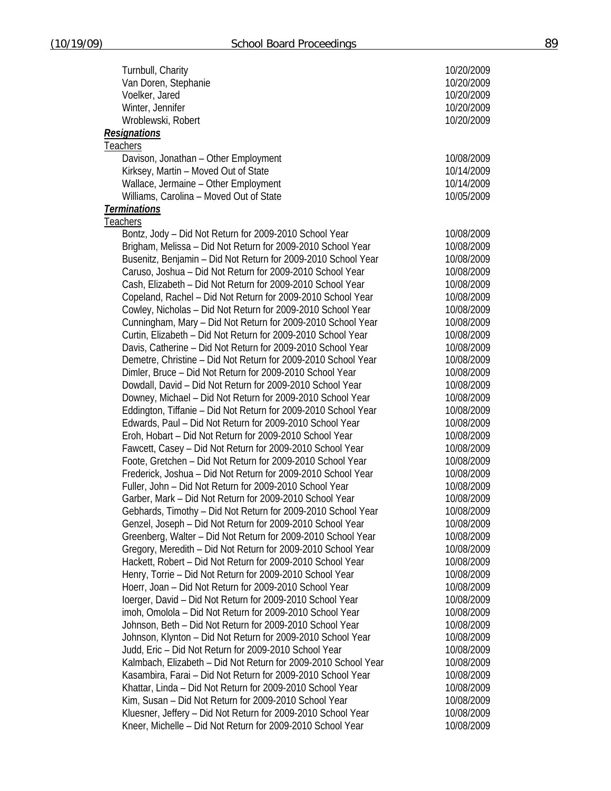| Turnbull, Charity                                              | 10/20/2009               |
|----------------------------------------------------------------|--------------------------|
| Van Doren, Stephanie                                           | 10/20/2009               |
| Voelker, Jared                                                 | 10/20/2009               |
| Winter, Jennifer                                               | 10/20/2009               |
| Wroblewski, Robert                                             | 10/20/2009               |
| <b>Resignations</b>                                            |                          |
| <b>Teachers</b>                                                |                          |
| Davison, Jonathan - Other Employment                           | 10/08/2009               |
| Kirksey, Martin - Moved Out of State                           | 10/14/2009               |
| Wallace, Jermaine - Other Employment                           | 10/14/2009               |
| Williams, Carolina - Moved Out of State                        | 10/05/2009               |
| <b>Terminations</b>                                            |                          |
| <u>Teachers</u>                                                |                          |
| Bontz, Jody - Did Not Return for 2009-2010 School Year         | 10/08/2009               |
| Brigham, Melissa - Did Not Return for 2009-2010 School Year    | 10/08/2009               |
| Busenitz, Benjamin - Did Not Return for 2009-2010 School Year  | 10/08/2009               |
| Caruso, Joshua - Did Not Return for 2009-2010 School Year      | 10/08/2009               |
| Cash, Elizabeth - Did Not Return for 2009-2010 School Year     | 10/08/2009               |
| Copeland, Rachel - Did Not Return for 2009-2010 School Year    | 10/08/2009               |
| Cowley, Nicholas - Did Not Return for 2009-2010 School Year    | 10/08/2009               |
| Cunningham, Mary - Did Not Return for 2009-2010 School Year    | 10/08/2009               |
| Curtin, Elizabeth - Did Not Return for 2009-2010 School Year   | 10/08/2009               |
| Davis, Catherine - Did Not Return for 2009-2010 School Year    | 10/08/2009               |
| Demetre, Christine - Did Not Return for 2009-2010 School Year  | 10/08/2009               |
| Dimler, Bruce - Did Not Return for 2009-2010 School Year       | 10/08/2009               |
| Dowdall, David - Did Not Return for 2009-2010 School Year      | 10/08/2009               |
| Downey, Michael - Did Not Return for 2009-2010 School Year     | 10/08/2009               |
| Eddington, Tiffanie - Did Not Return for 2009-2010 School Year | 10/08/2009               |
| Edwards, Paul - Did Not Return for 2009-2010 School Year       | 10/08/2009               |
|                                                                | 10/08/2009               |
| Eroh, Hobart - Did Not Return for 2009-2010 School Year        |                          |
| Fawcett, Casey - Did Not Return for 2009-2010 School Year      | 10/08/2009<br>10/08/2009 |
| Foote, Gretchen - Did Not Return for 2009-2010 School Year     |                          |
| Frederick, Joshua - Did Not Return for 2009-2010 School Year   | 10/08/2009               |
| Fuller, John - Did Not Return for 2009-2010 School Year        | 10/08/2009               |
| Garber, Mark - Did Not Return for 2009-2010 School Year        | 10/08/2009               |
| Gebhards, Timothy - Did Not Return for 2009-2010 School Year   | 10/08/2009               |
| Genzel, Joseph - Did Not Return for 2009-2010 School Year      | 10/08/2009               |
| Greenberg, Walter - Did Not Return for 2009-2010 School Year   | 10/08/2009               |
| Gregory, Meredith - Did Not Return for 2009-2010 School Year   | 10/08/2009               |
| Hackett, Robert - Did Not Return for 2009-2010 School Year     | 10/08/2009               |
| Henry, Torrie - Did Not Return for 2009-2010 School Year       | 10/08/2009               |
| Hoerr, Joan - Did Not Return for 2009-2010 School Year         | 10/08/2009               |
| loerger, David - Did Not Return for 2009-2010 School Year      | 10/08/2009               |
| imoh, Omolola - Did Not Return for 2009-2010 School Year       | 10/08/2009               |
| Johnson, Beth - Did Not Return for 2009-2010 School Year       | 10/08/2009               |
| Johnson, Klynton - Did Not Return for 2009-2010 School Year    | 10/08/2009               |
| Judd, Eric - Did Not Return for 2009-2010 School Year          | 10/08/2009               |
| Kalmbach, Elizabeth - Did Not Return for 2009-2010 School Year | 10/08/2009               |
| Kasambira, Farai - Did Not Return for 2009-2010 School Year    | 10/08/2009               |
| Khattar, Linda - Did Not Return for 2009-2010 School Year      | 10/08/2009               |
| Kim, Susan - Did Not Return for 2009-2010 School Year          | 10/08/2009               |
| Kluesner, Jeffery - Did Not Return for 2009-2010 School Year   | 10/08/2009               |
| Kneer, Michelle - Did Not Return for 2009-2010 School Year     | 10/08/2009               |
|                                                                |                          |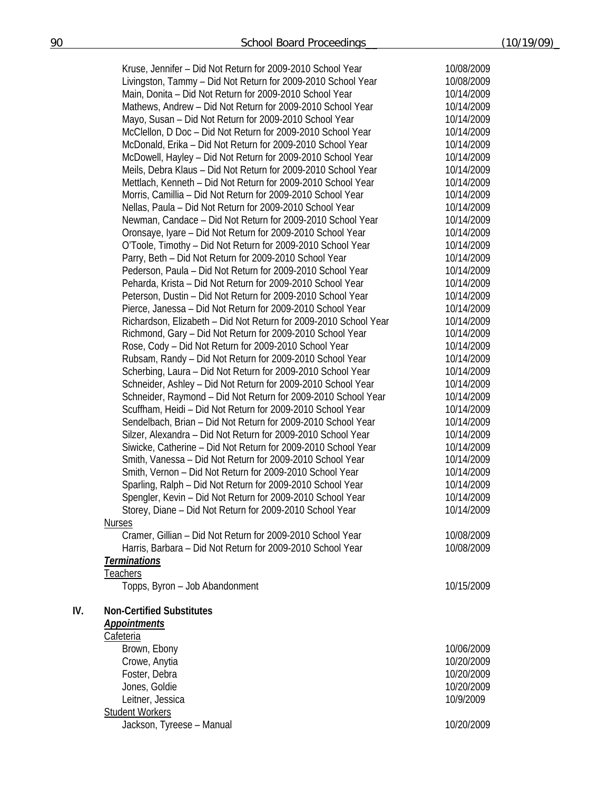|     | Kruse, Jennifer - Did Not Return for 2009-2010 School Year                  | 10/08/2009 |
|-----|-----------------------------------------------------------------------------|------------|
|     | Livingston, Tammy - Did Not Return for 2009-2010 School Year                | 10/08/2009 |
|     | Main, Donita - Did Not Return for 2009-2010 School Year                     | 10/14/2009 |
|     | Mathews, Andrew - Did Not Return for 2009-2010 School Year                  | 10/14/2009 |
|     | Mayo, Susan - Did Not Return for 2009-2010 School Year                      | 10/14/2009 |
|     | McClellon, D Doc - Did Not Return for 2009-2010 School Year                 | 10/14/2009 |
|     | McDonald, Erika - Did Not Return for 2009-2010 School Year                  | 10/14/2009 |
|     |                                                                             | 10/14/2009 |
|     | McDowell, Hayley - Did Not Return for 2009-2010 School Year                 |            |
|     | Meils, Debra Klaus - Did Not Return for 2009-2010 School Year               | 10/14/2009 |
|     | Mettlach, Kenneth - Did Not Return for 2009-2010 School Year                | 10/14/2009 |
|     | Morris, Camillia - Did Not Return for 2009-2010 School Year                 | 10/14/2009 |
|     | Nellas, Paula - Did Not Return for 2009-2010 School Year                    | 10/14/2009 |
|     | Newman, Candace - Did Not Return for 2009-2010 School Year                  | 10/14/2009 |
|     | Oronsaye, Iyare - Did Not Return for 2009-2010 School Year                  | 10/14/2009 |
|     | O'Toole, Timothy - Did Not Return for 2009-2010 School Year                 | 10/14/2009 |
|     | Parry, Beth - Did Not Return for 2009-2010 School Year                      | 10/14/2009 |
|     | Pederson, Paula - Did Not Return for 2009-2010 School Year                  | 10/14/2009 |
|     | Peharda, Krista - Did Not Return for 2009-2010 School Year                  | 10/14/2009 |
|     | Peterson, Dustin - Did Not Return for 2009-2010 School Year                 | 10/14/2009 |
|     | Pierce, Janessa - Did Not Return for 2009-2010 School Year                  | 10/14/2009 |
|     | Richardson, Elizabeth - Did Not Return for 2009-2010 School Year            | 10/14/2009 |
|     | Richmond, Gary - Did Not Return for 2009-2010 School Year                   | 10/14/2009 |
|     | Rose, Cody - Did Not Return for 2009-2010 School Year                       | 10/14/2009 |
|     | Rubsam, Randy - Did Not Return for 2009-2010 School Year                    | 10/14/2009 |
|     | Scherbing, Laura - Did Not Return for 2009-2010 School Year                 | 10/14/2009 |
|     | Schneider, Ashley - Did Not Return for 2009-2010 School Year                | 10/14/2009 |
|     | Schneider, Raymond - Did Not Return for 2009-2010 School Year               | 10/14/2009 |
|     | Scuffham, Heidi - Did Not Return for 2009-2010 School Year                  | 10/14/2009 |
|     | Sendelbach, Brian - Did Not Return for 2009-2010 School Year                | 10/14/2009 |
|     | Silzer, Alexandra - Did Not Return for 2009-2010 School Year                | 10/14/2009 |
|     | Siwicke, Catherine - Did Not Return for 2009-2010 School Year               | 10/14/2009 |
|     | Smith, Vanessa - Did Not Return for 2009-2010 School Year                   | 10/14/2009 |
|     | Smith, Vernon - Did Not Return for 2009-2010 School Year                    | 10/14/2009 |
|     | Sparling, Ralph - Did Not Return for 2009-2010 School Year                  | 10/14/2009 |
|     | Spengler, Kevin - Did Not Return for 2009-2010 School Year                  | 10/14/2009 |
|     |                                                                             | 10/14/2009 |
|     | Storey, Diane - Did Not Return for 2009-2010 School Year                    |            |
|     | <b>Nurses</b><br>Cramer, Gillian - Did Not Return for 2009-2010 School Year |            |
|     | Harris, Barbara - Did Not Return for 2009-2010 School Year                  | 10/08/2009 |
|     |                                                                             | 10/08/2009 |
|     | <b>Terminations</b>                                                         |            |
|     | <u>Teachers</u>                                                             |            |
|     | Topps, Byron - Job Abandonment                                              | 10/15/2009 |
| IV. | <b>Non-Certified Substitutes</b>                                            |            |
|     |                                                                             |            |
|     | <b>Appointments</b>                                                         |            |
|     | Cafeteria                                                                   |            |
|     | Brown, Ebony                                                                | 10/06/2009 |
|     | Crowe, Anytia                                                               | 10/20/2009 |
|     | Foster, Debra                                                               | 10/20/2009 |
|     | Jones, Goldie                                                               | 10/20/2009 |
|     | Leitner, Jessica                                                            | 10/9/2009  |
|     | <b>Student Workers</b>                                                      |            |
|     | Jackson, Tyreese - Manual                                                   | 10/20/2009 |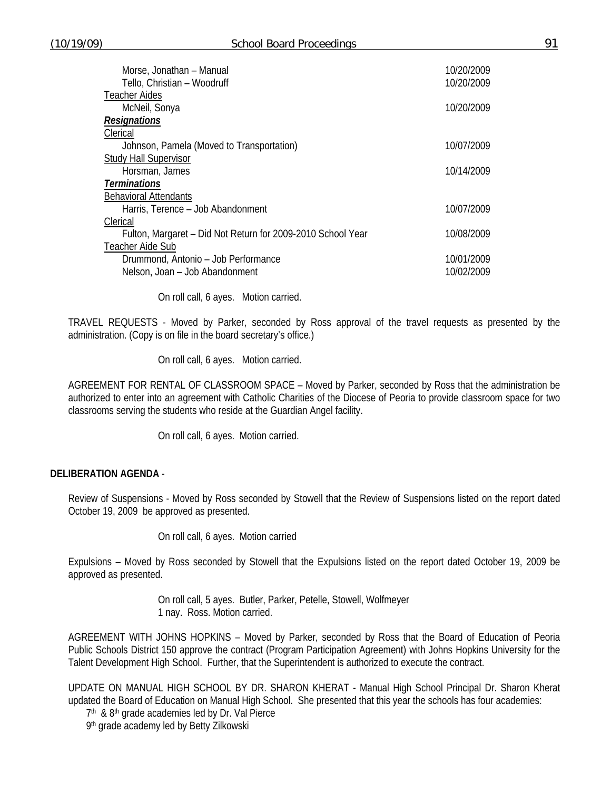| Morse, Jonathan - Manual<br>Tello, Christian - Woodruff     | 10/20/2009<br>10/20/2009 |
|-------------------------------------------------------------|--------------------------|
| <b>Teacher Aides</b>                                        |                          |
| McNeil, Sonya                                               | 10/20/2009               |
| <b>Resignations</b>                                         |                          |
| Clerical                                                    |                          |
| Johnson, Pamela (Moved to Transportation)                   | 10/07/2009               |
| <b>Study Hall Supervisor</b>                                |                          |
| Horsman, James                                              | 10/14/2009               |
| <b>Terminations</b>                                         |                          |
| <b>Behavioral Attendants</b>                                |                          |
| Harris, Terence - Job Abandonment                           | 10/07/2009               |
| Clerical                                                    |                          |
| Fulton, Margaret - Did Not Return for 2009-2010 School Year | 10/08/2009               |
| Teacher Aide Sub                                            |                          |
| Drummond, Antonio - Job Performance                         | 10/01/2009               |
| Nelson, Joan - Job Abandonment                              | 10/02/2009               |
|                                                             |                          |

On roll call, 6 ayes. Motion carried.

TRAVEL REQUESTS - Moved by Parker, seconded by Ross approval of the travel requests as presented by the administration. (Copy is on file in the board secretary's office.)

On roll call, 6 ayes. Motion carried.

AGREEMENT FOR RENTAL OF CLASSROOM SPACE – Moved by Parker, seconded by Ross that the administration be authorized to enter into an agreement with Catholic Charities of the Diocese of Peoria to provide classroom space for two classrooms serving the students who reside at the Guardian Angel facility.

On roll call, 6 ayes. Motion carried.

#### **DELIBERATION AGENDA** -

Review of Suspensions - Moved by Ross seconded by Stowell that the Review of Suspensions listed on the report dated October 19, 2009 be approved as presented.

On roll call, 6 ayes. Motion carried

Expulsions – Moved by Ross seconded by Stowell that the Expulsions listed on the report dated October 19, 2009 be approved as presented.

> On roll call, 5 ayes. Butler, Parker, Petelle, Stowell, Wolfmeyer 1 nay. Ross. Motion carried.

AGREEMENT WITH JOHNS HOPKINS – Moved by Parker, seconded by Ross that the Board of Education of Peoria Public Schools District 150 approve the contract (Program Participation Agreement) with Johns Hopkins University for the Talent Development High School. Further, that the Superintendent is authorized to execute the contract.

UPDATE ON MANUAL HIGH SCHOOL BY DR. SHARON KHERAT - Manual High School Principal Dr. Sharon Kherat updated the Board of Education on Manual High School. She presented that this year the schools has four academies:

7<sup>th</sup> & 8<sup>th</sup> grade academies led by Dr. Val Pierce

9th grade academy led by Betty Zilkowski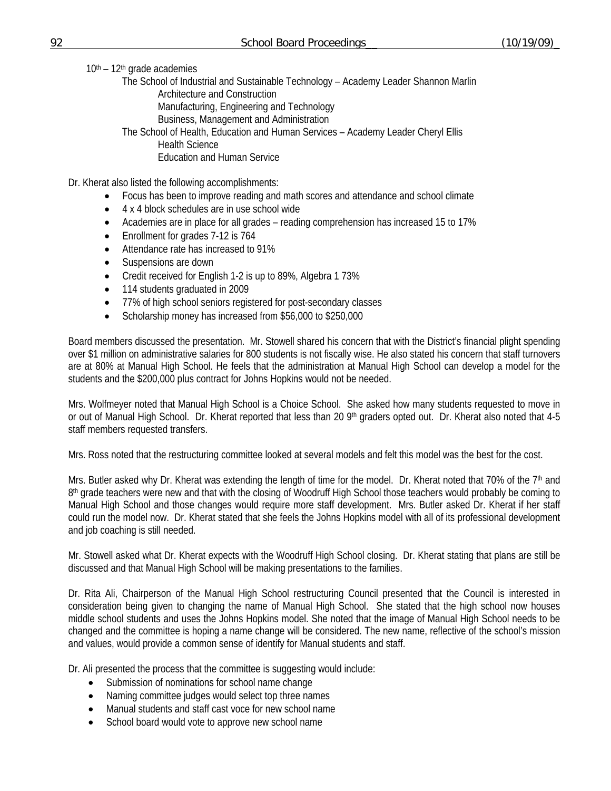$10<sup>th</sup> - 12<sup>th</sup>$  grade academies

 The School of Industrial and Sustainable Technology – Academy Leader Shannon Marlin Architecture and Construction Manufacturing, Engineering and Technology

Business, Management and Administration

 The School of Health, Education and Human Services – Academy Leader Cheryl Ellis Health Science Education and Human Service

Dr. Kherat also listed the following accomplishments:

- Focus has been to improve reading and math scores and attendance and school climate
- 4 x 4 block schedules are in use school wide
- Academies are in place for all grades reading comprehension has increased 15 to 17%
- Enrollment for grades 7-12 is 764
- Attendance rate has increased to 91%
- Suspensions are down
- Credit received for English 1-2 is up to 89%, Algebra 1 73%
- 114 students graduated in 2009
- 77% of high school seniors registered for post-secondary classes
- Scholarship money has increased from \$56,000 to \$250,000

Board members discussed the presentation. Mr. Stowell shared his concern that with the District's financial plight spending over \$1 million on administrative salaries for 800 students is not fiscally wise. He also stated his concern that staff turnovers are at 80% at Manual High School. He feels that the administration at Manual High School can develop a model for the students and the \$200,000 plus contract for Johns Hopkins would not be needed.

Mrs. Wolfmeyer noted that Manual High School is a Choice School. She asked how many students requested to move in or out of Manual High School. Dr. Kherat reported that less than 20 9<sup>th</sup> graders opted out. Dr. Kherat also noted that 4-5 staff members requested transfers.

Mrs. Ross noted that the restructuring committee looked at several models and felt this model was the best for the cost.

Mrs. Butler asked why Dr. Kherat was extending the length of time for the model. Dr. Kherat noted that 70% of the  $7<sup>th</sup>$  and  $8<sup>th</sup>$  grade teachers were new and that with the closing of Woodruff High School those teachers would probably be coming to Manual High School and those changes would require more staff development. Mrs. Butler asked Dr. Kherat if her staff could run the model now. Dr. Kherat stated that she feels the Johns Hopkins model with all of its professional development and job coaching is still needed.

Mr. Stowell asked what Dr. Kherat expects with the Woodruff High School closing. Dr. Kherat stating that plans are still be discussed and that Manual High School will be making presentations to the families.

Dr. Rita Ali, Chairperson of the Manual High School restructuring Council presented that the Council is interested in consideration being given to changing the name of Manual High School. She stated that the high school now houses middle school students and uses the Johns Hopkins model. She noted that the image of Manual High School needs to be changed and the committee is hoping a name change will be considered. The new name, reflective of the school's mission and values, would provide a common sense of identify for Manual students and staff.

Dr. Ali presented the process that the committee is suggesting would include:

- Submission of nominations for school name change
- Naming committee judges would select top three names
- Manual students and staff cast voce for new school name
- School board would vote to approve new school name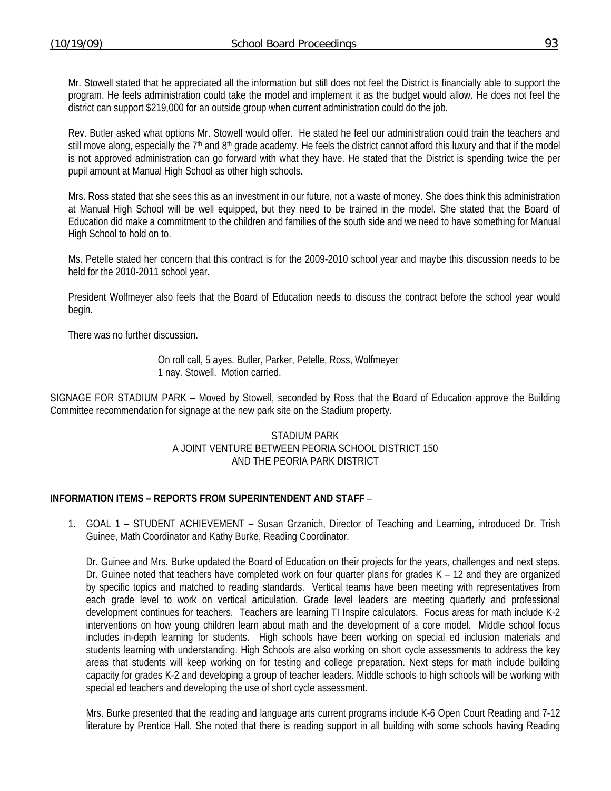Mr. Stowell stated that he appreciated all the information but still does not feel the District is financially able to support the program. He feels administration could take the model and implement it as the budget would allow. He does not feel the district can support \$219,000 for an outside group when current administration could do the job.

Rev. Butler asked what options Mr. Stowell would offer. He stated he feel our administration could train the teachers and still move along, especially the  $7<sup>th</sup>$  and  $8<sup>th</sup>$  grade academy. He feels the district cannot afford this luxury and that if the model is not approved administration can go forward with what they have. He stated that the District is spending twice the per pupil amount at Manual High School as other high schools.

Mrs. Ross stated that she sees this as an investment in our future, not a waste of money. She does think this administration at Manual High School will be well equipped, but they need to be trained in the model. She stated that the Board of Education did make a commitment to the children and families of the south side and we need to have something for Manual High School to hold on to.

Ms. Petelle stated her concern that this contract is for the 2009-2010 school year and maybe this discussion needs to be held for the 2010-2011 school year.

President Wolfmeyer also feels that the Board of Education needs to discuss the contract before the school year would begin.

There was no further discussion.

 On roll call, 5 ayes. Butler, Parker, Petelle, Ross, Wolfmeyer 1 nay. Stowell. Motion carried.

SIGNAGE FOR STADIUM PARK – Moved by Stowell, seconded by Ross that the Board of Education approve the Building Committee recommendation for signage at the new park site on the Stadium property.

#### STADIUM PARK A JOINT VENTURE BETWEEN PEORIA SCHOOL DISTRICT 150 AND THE PEORIA PARK DISTRICT

## **INFORMATION ITEMS – REPORTS FROM SUPERINTENDENT AND STAFF** –

1. GOAL 1 – STUDENT ACHIEVEMENT – Susan Grzanich, Director of Teaching and Learning, introduced Dr. Trish Guinee, Math Coordinator and Kathy Burke, Reading Coordinator.

Dr. Guinee and Mrs. Burke updated the Board of Education on their projects for the years, challenges and next steps. Dr. Guinee noted that teachers have completed work on four quarter plans for grades K – 12 and they are organized by specific topics and matched to reading standards. Vertical teams have been meeting with representatives from each grade level to work on vertical articulation. Grade level leaders are meeting quarterly and professional development continues for teachers. Teachers are learning TI Inspire calculators. Focus areas for math include K-2 interventions on how young children learn about math and the development of a core model. Middle school focus includes in-depth learning for students. High schools have been working on special ed inclusion materials and students learning with understanding. High Schools are also working on short cycle assessments to address the key areas that students will keep working on for testing and college preparation. Next steps for math include building capacity for grades K-2 and developing a group of teacher leaders. Middle schools to high schools will be working with special ed teachers and developing the use of short cycle assessment.

Mrs. Burke presented that the reading and language arts current programs include K-6 Open Court Reading and 7-12 literature by Prentice Hall. She noted that there is reading support in all building with some schools having Reading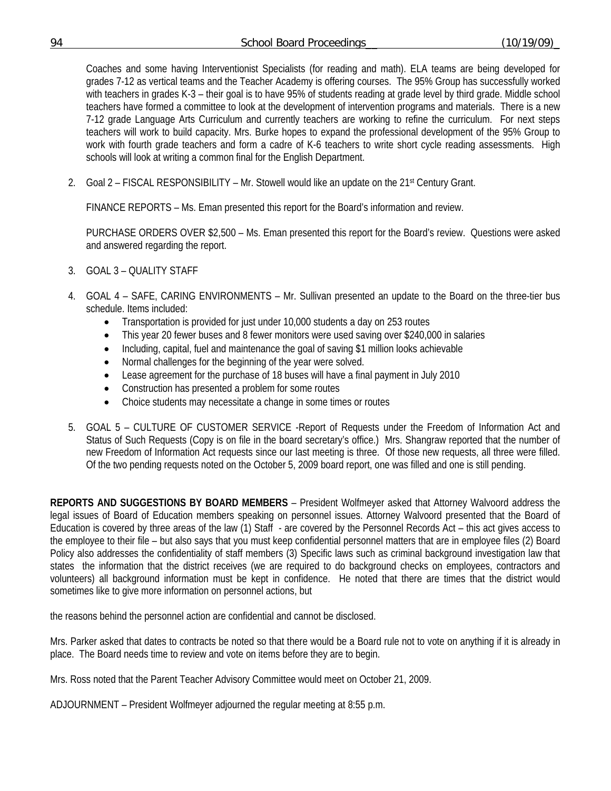Coaches and some having Interventionist Specialists (for reading and math). ELA teams are being developed for grades 7-12 as vertical teams and the Teacher Academy is offering courses. The 95% Group has successfully worked with teachers in grades K-3 – their goal is to have 95% of students reading at grade level by third grade. Middle school teachers have formed a committee to look at the development of intervention programs and materials. There is a new 7-12 grade Language Arts Curriculum and currently teachers are working to refine the curriculum. For next steps teachers will work to build capacity. Mrs. Burke hopes to expand the professional development of the 95% Group to work with fourth grade teachers and form a cadre of K-6 teachers to write short cycle reading assessments. High schools will look at writing a common final for the English Department.

2. Goal  $2$  – FISCAL RESPONSIBILITY – Mr. Stowell would like an update on the  $21<sup>st</sup>$  Century Grant.

FINANCE REPORTS – Ms. Eman presented this report for the Board's information and review.

 PURCHASE ORDERS OVER \$2,500 – Ms. Eman presented this report for the Board's review. Questions were asked and answered regarding the report.

- 3. GOAL 3 QUALITY STAFF
- 4. GOAL 4 SAFE, CARING ENVIRONMENTS Mr. Sullivan presented an update to the Board on the three-tier bus schedule. Items included:
	- Transportation is provided for just under 10,000 students a day on 253 routes
	- This year 20 fewer buses and 8 fewer monitors were used saving over \$240,000 in salaries
	- Including, capital, fuel and maintenance the goal of saving \$1 million looks achievable
	- Normal challenges for the beginning of the year were solved.
	- Lease agreement for the purchase of 18 buses will have a final payment in July 2010
	- Construction has presented a problem for some routes
	- Choice students may necessitate a change in some times or routes
- 5. GOAL 5 CULTURE OF CUSTOMER SERVICE -Report of Requests under the Freedom of Information Act and Status of Such Requests (Copy is on file in the board secretary's office.) Mrs. Shangraw reported that the number of new Freedom of Information Act requests since our last meeting is three. Of those new requests, all three were filled. Of the two pending requests noted on the October 5, 2009 board report, one was filled and one is still pending.

**REPORTS AND SUGGESTIONS BY BOARD MEMBERS** – President Wolfmeyer asked that Attorney Walvoord address the legal issues of Board of Education members speaking on personnel issues. Attorney Walvoord presented that the Board of Education is covered by three areas of the law (1) Staff - are covered by the Personnel Records Act – this act gives access to the employee to their file – but also says that you must keep confidential personnel matters that are in employee files (2) Board Policy also addresses the confidentiality of staff members (3) Specific laws such as criminal background investigation law that states the information that the district receives (we are required to do background checks on employees, contractors and volunteers) all background information must be kept in confidence. He noted that there are times that the district would sometimes like to give more information on personnel actions, but

the reasons behind the personnel action are confidential and cannot be disclosed.

Mrs. Parker asked that dates to contracts be noted so that there would be a Board rule not to vote on anything if it is already in place. The Board needs time to review and vote on items before they are to begin.

Mrs. Ross noted that the Parent Teacher Advisory Committee would meet on October 21, 2009.

ADJOURNMENT – President Wolfmeyer adjourned the regular meeting at 8:55 p.m.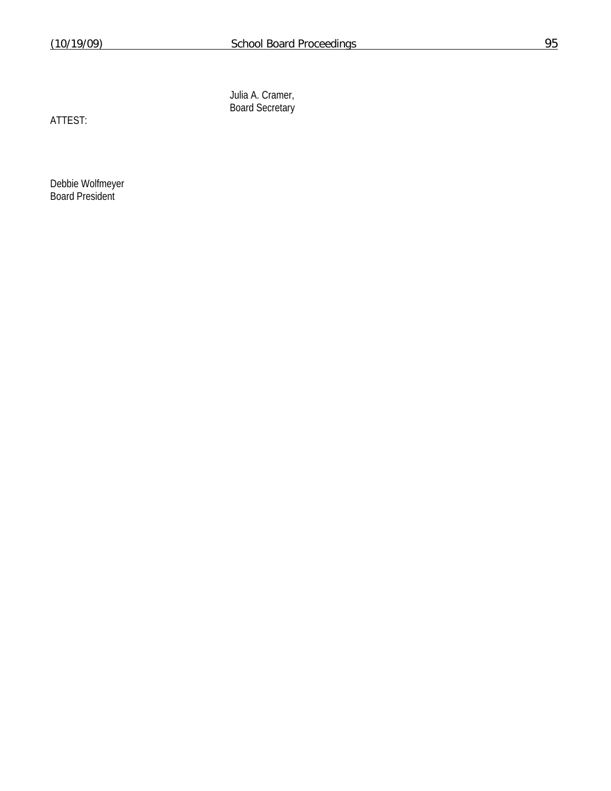Julia A. Cramer, Board Secretary

ATTEST:

Debbie Wolfmeyer Board President